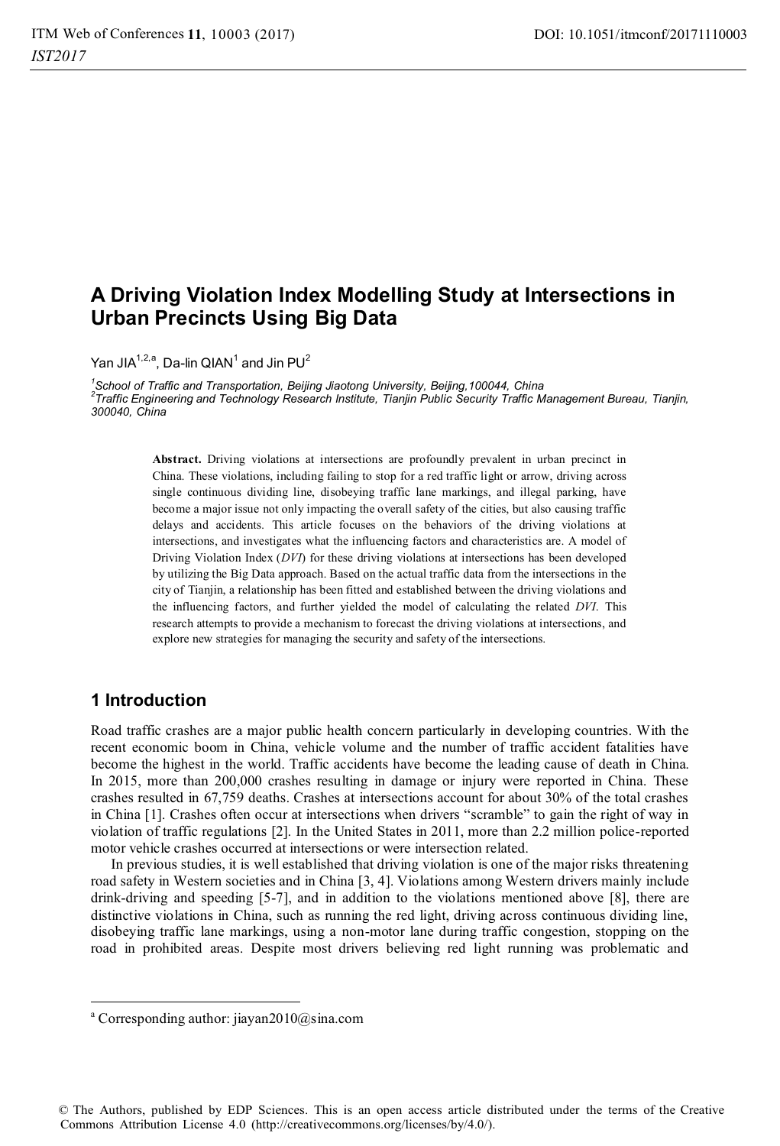# **A Driving Violation Index Modelling Study at Intersections in Urban Precincts Using Big Data**

Yan JIA<sup>1,2,a</sup>, Da-lin QIAN<sup>1</sup> and Jin PU<sup>2</sup>

*1 School of Traffic and Transportation, Beijing Jiaotong University, Beijing,100044, China 2 Traffic Engineering and Technology Research Institute, Tianjin Public Security Traffic Management Bureau, Tianjin, 300040, China* 

> **Abstract.** Driving violations at intersections are profoundly prevalent in urban precinct in China. These violations, including failing to stop for a red traffic light or arrow, driving across single continuous dividing line, disobeying traffic lane markings, and illegal parking, have become a major issue not only impacting the overall safety of the cities, but also causing traffic delays and accidents. This article focuses on the behaviors of the driving violations at intersections, and investigates what the influencing factors and characteristics are. A model of Driving Violation Index (*DVI*) for these driving violations at intersections has been developed by utilizing the Big Data approach. Based on the actual traffic data from the intersections in the city of Tianjin, a relationship has been fitted and established between the driving violations and the influencing factors, and further yielded the model of calculating the related *DVI*. This research attempts to provide a mechanism to forecast the driving violations at intersections, and explore new strategies for managing the security and safety of the intersections.

# **1 Introduction**

 $\overline{a}$ 

Road traffic crashes are a major public health concern particularly in developing countries. With the recent economic boom in China, vehicle volume and the number of traffic accident fatalities have become the highest in the world. Traffic accidents have become the leading cause of death in China. In 2015, more than 200,000 crashes resulting in damage or injury were reported in China. These crashes resulted in 67,759 deaths. Crashes at intersections account for about 30% of the total crashes in China [1]. Crashes often occur at intersections when drivers "scramble" to gain the right of way in violation of traffic regulations [2]. In the United States in 2011, more than 2.2 million police-reported motor vehicle crashes occurred at intersections or were intersection related.

In previous studies, it is well established that driving violation is one of the major risks threatening road safety in Western societies and in China [3, 4]. Violations among Western drivers mainly include drink-driving and speeding [5-7], and in addition to the violations mentioned above [8], there are distinctive violations in China, such as running the red light, driving across continuous dividing line, disobeying traffic lane markings, using a non-motor lane during traffic congestion, stopping on the road in prohibited areas. Despite most drivers believing red light running was problematic and

© The Authors, published by EDP Sciences. This is an open access article distributed under the terms of the Creative Commons Attribution License 4.0 (http://creativecommons.org/licenses/by/4.0/).

a Corresponding author: jiayan2010@sina.com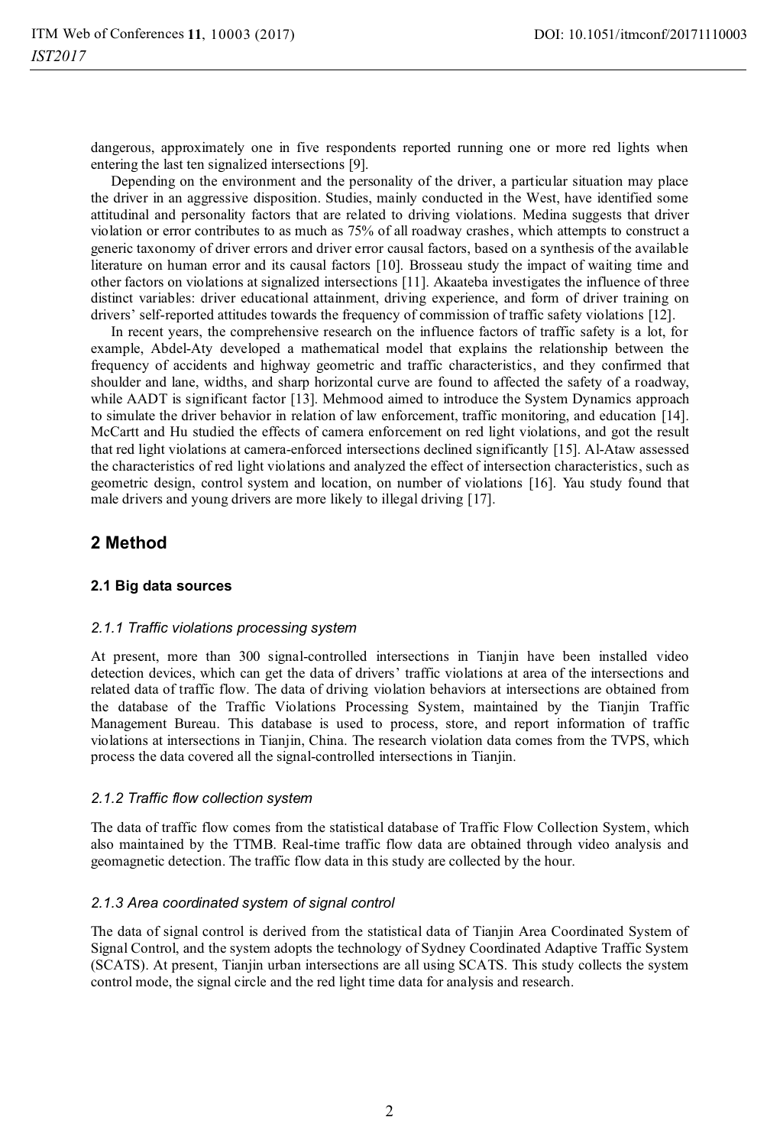dangerous, approximately one in five respondents reported running one or more red lights when entering the last ten signalized intersections [9].

Depending on the environment and the personality of the driver, a particular situation may place the driver in an aggressive disposition. Studies, mainly conducted in the West, have identified some attitudinal and personality factors that are related to driving violations. Medina suggests that driver violation or error contributes to as much as 75% of all roadway crashes, which attempts to construct a generic taxonomy of driver errors and driver error causal factors, based on a synthesis of the available literature on human error and its causal factors [10]. Brosseau study the impact of waiting time and other factors on violations at signalized intersections [11]. Akaateba investigates the influence of three distinct variables: driver educational attainment, driving experience, and form of driver training on drivers' self-reported attitudes towards the frequency of commission of traffic safety violations [12].

In recent years, the comprehensive research on the influence factors of traffic safety is a lot, for example, Abdel-Aty developed a mathematical model that explains the relationship between the frequency of accidents and highway geometric and traffic characteristics, and they confirmed that shoulder and lane, widths, and sharp horizontal curve are found to affected the safety of a roadway, while AADT is significant factor [13]. Mehmood aimed to introduce the System Dynamics approach to simulate the driver behavior in relation of law enforcement, traffic monitoring, and education [14]. McCartt and Hu studied the effects of camera enforcement on red light violations, and got the result that red light violations at camera-enforced intersections declined significantly [15]. Al-Ataw assessed the characteristics of red light violations and analyzed the effect of intersection characteristics, such as geometric design, control system and location, on number of violations [16]. Yau study found that male drivers and young drivers are more likely to illegal driving [17].

# **2 Method**

## **2.1 Big data sources**

## *2.1.1 Traffic violations processing system*

At present, more than 300 signal-controlled intersections in Tianjin have been installed video detection devices, which can get the data of drivers' traffic violations at area of the intersections and related data of traffic flow. The data of driving violation behaviors at intersections are obtained from the database of the Traffic Violations Processing System, maintained by the Tianjin Traffic Management Bureau. This database is used to process, store, and report information of traffic violations at intersections in Tianjin, China. The research violation data comes from the TVPS, which process the data covered all the signal-controlled intersections in Tianjin.

## *2.1.2 Traffic flow collection system*

The data of traffic flow comes from the statistical database of Traffic Flow Collection System, which also maintained by the TTMB. Real-time traffic flow data are obtained through video analysis and geomagnetic detection. The traffic flow data in this study are collected by the hour.

## *2.1.3 Area coordinated system of signal control*

The data of signal control is derived from the statistical data of Tianjin Area Coordinated System of Signal Control, and the system adopts the technology of Sydney Coordinated Adaptive Traffic System (SCATS). At present, Tianjin urban intersections are all using SCATS. This study collects the system control mode, the signal circle and the red light time data for analysis and research.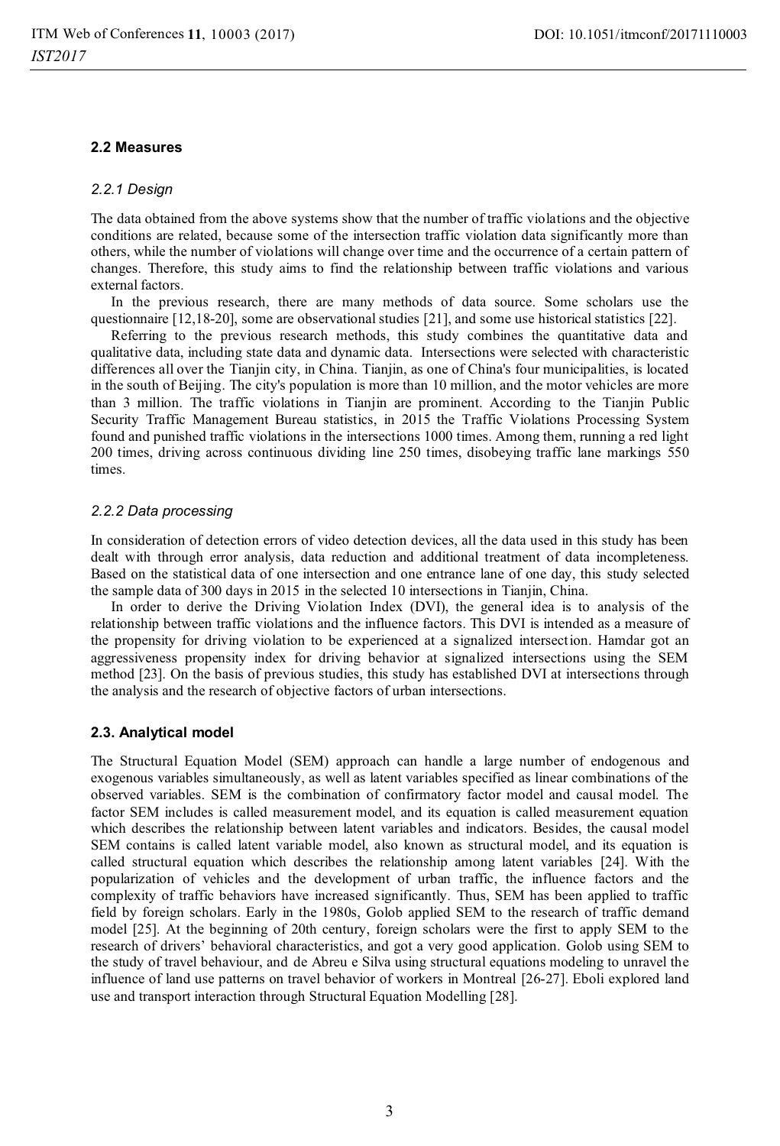### **2.2 Measures**

### *2.2.1 Design*

The data obtained from the above systems show that the number of traffic violations and the objective conditions are related, because some of the intersection traffic violation data significantly more than others, while the number of violations will change over time and the occurrence of a certain pattern of changes. Therefore, this study aims to find the relationship between traffic violations and various external factors.

In the previous research, there are many methods of data source. Some scholars use the questionnaire [12,18-20], some are observational studies [21], and some use historical statistics [22].

Referring to the previous research methods, this study combines the quantitative data and qualitative data, including state data and dynamic data. Intersections were selected with characteristic differences all over the Tianjin city, in China. Tianjin, as one of China's four municipalities, is located in the south of Beijing. The city's population is more than 10 million, and the motor vehicles are more than 3 million. The traffic violations in Tianjin are prominent. According to the Tianjin Public Security Traffic Management Bureau statistics, in 2015 the Traffic Violations Processing System found and punished traffic violations in the intersections 1000 times. Among them, running a red light 200 times, driving across continuous dividing line 250 times, disobeying traffic lane markings 550 times.

#### *2.2.2 Data processing*

In consideration of detection errors of video detection devices, all the data used in this study has been dealt with through error analysis, data reduction and additional treatment of data incompleteness. Based on the statistical data of one intersection and one entrance lane of one day, this study selected the sample data of 300 days in 2015 in the selected 10 intersections in Tianjin, China.

In order to derive the Driving Violation Index (DVI), the general idea is to analysis of the relationship between traffic violations and the influence factors. This DVI is intended as a measure of the propensity for driving violation to be experienced at a signalized intersection. Hamdar got an aggressiveness propensity index for driving behavior at signalized intersections using the SEM method [23]. On the basis of previous studies, this study has established DVI at intersections through the analysis and the research of objective factors of urban intersections.

### **2.3. Analytical model**

The Structural Equation Model (SEM) approach can handle a large number of endogenous and exogenous variables simultaneously, as well as latent variables specified as linear combinations of the observed variables. SEM is the combination of confirmatory factor model and causal model. The factor SEM includes is called measurement model, and its equation is called measurement equation which describes the relationship between latent variables and indicators. Besides, the causal model SEM contains is called latent variable model, also known as structural model, and its equation is called structural equation which describes the relationship among latent variables [24]. With the popularization of vehicles and the development of urban traffic, the influence factors and the complexity of traffic behaviors have increased significantly. Thus, SEM has been applied to traffic field by foreign scholars. Early in the 1980s, Golob applied SEM to the research of traffic demand model [25]. At the beginning of 20th century, foreign scholars were the first to apply SEM to the research of drivers' behavioral characteristics, and got a very good application. Golob using SEM to the study of travel behaviour, and de Abreu e Silva using structural equations modeling to unravel the influence of land use patterns on travel behavior of workers in Montreal [26-27]. Eboli explored land use and transport interaction through Structural Equation Modelling [28].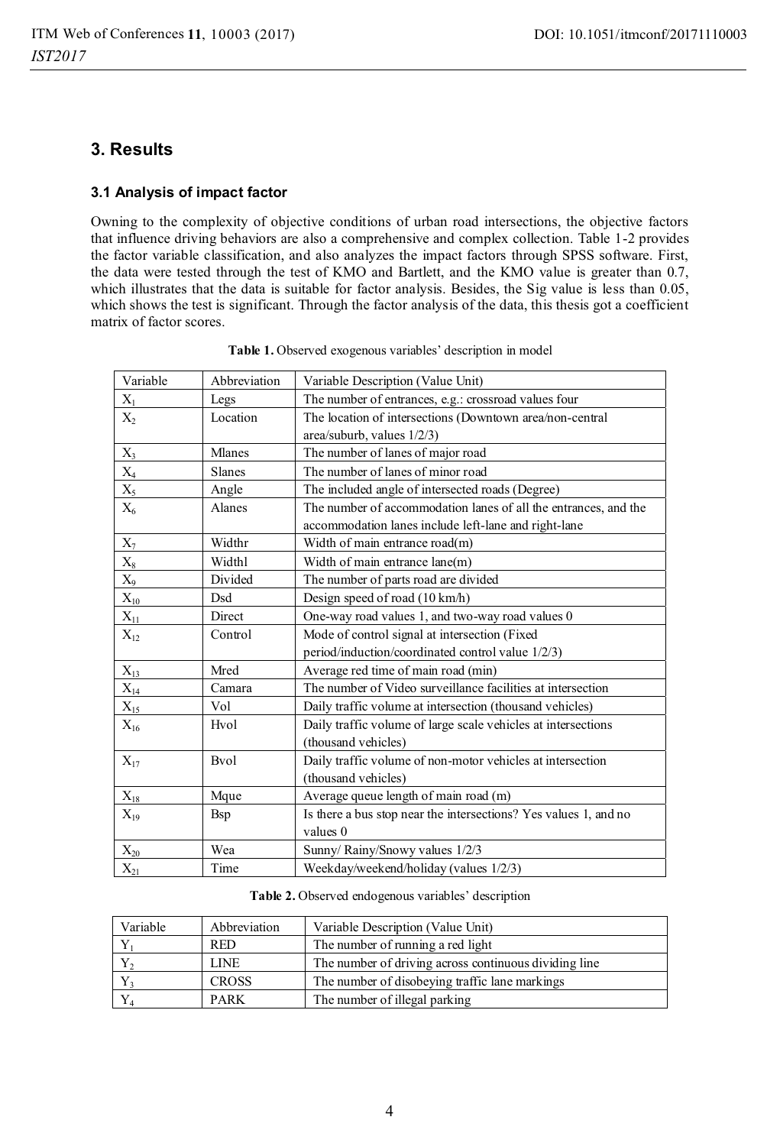# **3. Results**

## **3.1 Analysis of impact factor**

Owning to the complexity of objective conditions of urban road intersections, the objective factors that influence driving behaviors are also a comprehensive and complex collection. Table 1-2 provides the factor variable classification, and also analyzes the impact factors through SPSS software. First, the data were tested through the test of KMO and Bartlett, and the KMO value is greater than 0.7, which illustrates that the data is suitable for factor analysis. Besides, the Sig value is less than 0.05, which shows the test is significant. Through the factor analysis of the data, this thesis got a coefficient matrix of factor scores.

| Variable          | Abbreviation | Variable Description (Value Unit)                                |
|-------------------|--------------|------------------------------------------------------------------|
| $X_1$             | Legs         | The number of entrances, e.g.: crossroad values four             |
| $X_2$             | Location     | The location of intersections (Downtown area/non-central         |
|                   |              | area/suburb, values 1/2/3)                                       |
| $X_3$             | Mlanes       | The number of lanes of major road                                |
| $\mathbf{X}_4$    | Slanes       | The number of lanes of minor road                                |
| $X_5$             | Angle        | The included angle of intersected roads (Degree)                 |
| $X_6$             | Alanes       | The number of accommodation lanes of all the entrances, and the  |
|                   |              | accommodation lanes include left-lane and right-lane             |
| $X_7$             | Widthr       | Width of main entrance road(m)                                   |
| $\mathbf{X}_8$    | Widthl       | Width of main entrance lane(m)                                   |
| $X_9$             | Divided      | The number of parts road are divided                             |
| $X_{10}$          | Dsd          | Design speed of road (10 km/h)                                   |
| $\mathbf{X}_{11}$ | Direct       | One-way road values 1, and two-way road values 0                 |
| $X_{12}$          | Control      | Mode of control signal at intersection (Fixed                    |
|                   |              | period/induction/coordinated control value 1/2/3)                |
| $X_{13}$          | Mred         | Average red time of main road (min)                              |
| $X_{14}$          | Camara       | The number of Video surveillance facilities at intersection      |
| $X_{15}$          | Vol          | Daily traffic volume at intersection (thousand vehicles)         |
| $X_{16}$          | Hvol         | Daily traffic volume of large scale vehicles at intersections    |
|                   |              | (thousand vehicles)                                              |
| $X_{17}$          | <b>B</b> vol | Daily traffic volume of non-motor vehicles at intersection       |
|                   |              | (thousand vehicles)                                              |
| $X_{18}$          | Mque         | Average queue length of main road (m)                            |
| $X_{19}$          | <b>B</b> sp  | Is there a bus stop near the intersections? Yes values 1, and no |
|                   |              | values 0                                                         |
| $X_{20}$          | Wea          | Sunny/Rainy/Snowy values 1/2/3                                   |
| $X_{21}$          | Time         | Weekday/weekend/holiday (values 1/2/3)                           |

| Variable     | Abbreviation | Variable Description (Value Unit)                     |
|--------------|--------------|-------------------------------------------------------|
|              | <b>RED</b>   | The number of running a red light                     |
| $\mathbf{r}$ | <b>LINE</b>  | The number of driving across continuous dividing line |
|              | <b>CROSS</b> | The number of disobeying traffic lane markings        |
|              | <b>PARK</b>  | The number of illegal parking                         |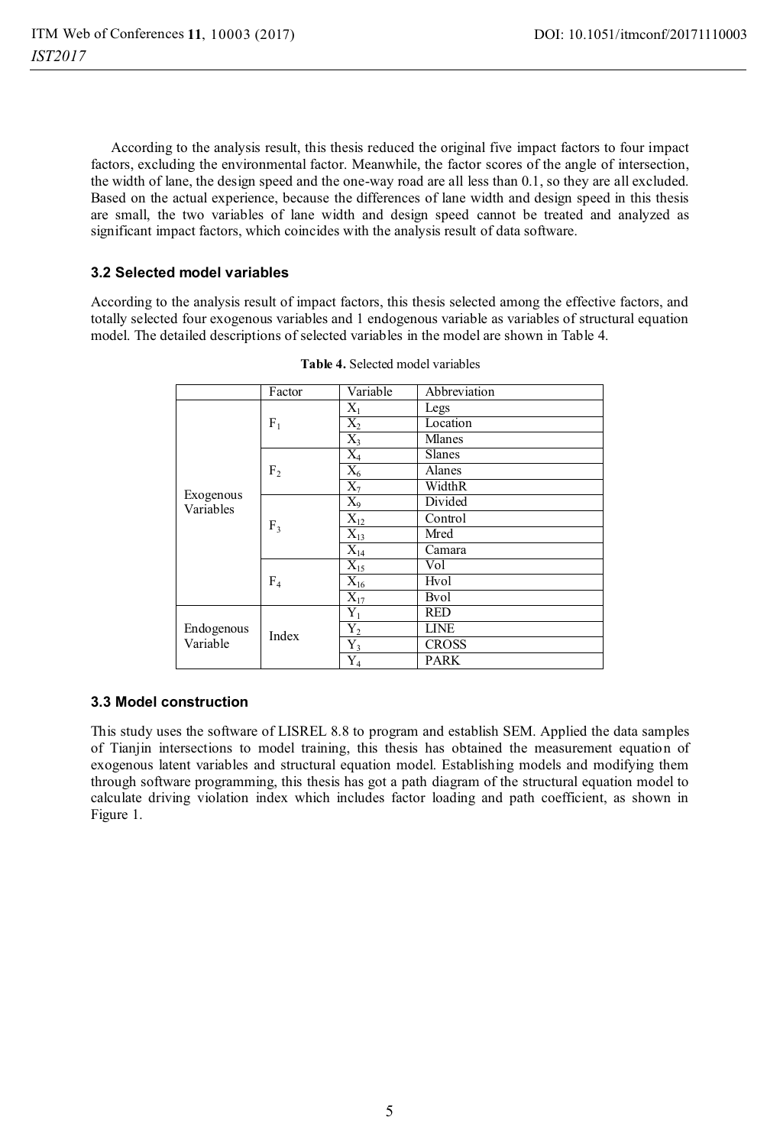According to the analysis result, this thesis reduced the original five impact factors to four impact factors, excluding the environmental factor. Meanwhile, the factor scores of the angle of intersection, the width of lane, the design speed and the one-way road are all less than 0.1, so they are all excluded. Based on the actual experience, because the differences of lane width and design speed in this thesis are small, the two variables of lane width and design speed cannot be treated and analyzed as significant impact factors, which coincides with the analysis result of data software.

## **3.2 Selected model variables**

According to the analysis result of impact factors, this thesis selected among the effective factors, and totally selected four exogenous variables and 1 endogenous variable as variables of structural equation model. The detailed descriptions of selected variables in the model are shown in Table 4.

|                        | Factor         | Variable              | Abbreviation  |
|------------------------|----------------|-----------------------|---------------|
|                        | $F_1$          | $X_1$                 | Legs          |
|                        |                | $X_2$                 | Location      |
|                        |                | $X_3$                 | Mlanes        |
|                        | F <sub>2</sub> | $X_4$                 | <b>Slanes</b> |
|                        |                | $X_6$                 | Alanes        |
| Exogenous<br>Variables |                | $X_7$                 | WidthR        |
|                        | F <sub>3</sub> | $X_9$                 | Divided       |
|                        |                | $X_{12}$              | Control       |
|                        |                | $X_{13}$              | Mred          |
|                        |                | $\bar{\text{X}}_{14}$ | Camara        |
|                        | F <sub>4</sub> | $X_{15}$              | Vol           |
|                        |                | $X_{16}$              | Hvol          |
|                        |                | $X_{17}$              | <b>B</b> vol  |
| Endogenous<br>Variable | Index          | $Y_1$                 | <b>RED</b>    |
|                        |                | ${\rm Y_2}$           | <b>LINE</b>   |
|                        |                | $Y_3$                 | <b>CROSS</b>  |
|                        |                | ${\rm Y}_4$           | <b>PARK</b>   |

**Table 4.** Selected model variables

### **3.3 Model construction**

This study uses the software of LISREL 8.8 to program and establish SEM. Applied the data samples of Tianjin intersections to model training, this thesis has obtained the measurement equation of exogenous latent variables and structural equation model. Establishing models and modifying them through software programming, this thesis has got a path diagram of the structural equation model to calculate driving violation index which includes factor loading and path coefficient, as shown in Figure 1.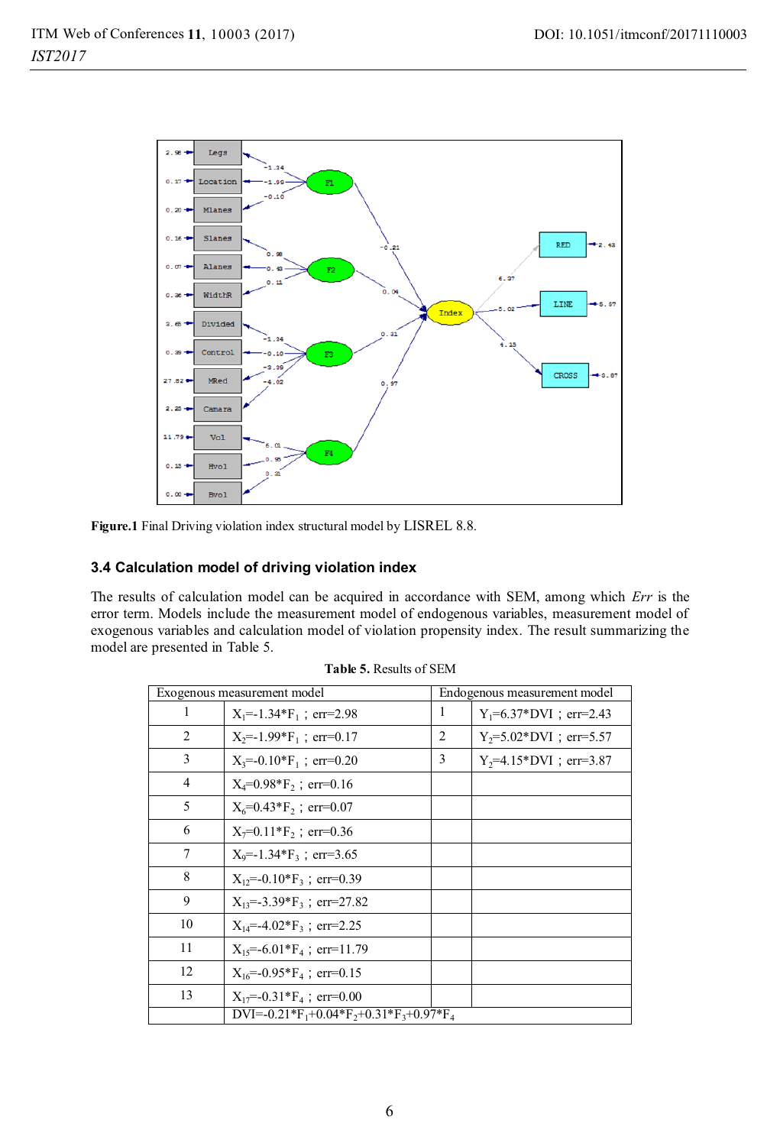

**Figure.1** Final Driving violation index structural model by LISREL 8.8.

### **3.4 Calculation model of driving violation index**

The results of calculation model can be acquired in accordance with SEM, among which *Err* is the error term. Models include the measurement model of endogenous variables, measurement model of exogenous variables and calculation model of violation propensity index. The result summarizing the model are presented in Table 5.

| Exogenous measurement model |                                                                                         | Endogenous measurement model |                                          |
|-----------------------------|-----------------------------------------------------------------------------------------|------------------------------|------------------------------------------|
| 1                           | $X_1 = -1.34*F_1$ ; err=2.98                                                            | 1                            | $Y_1 = 6.37 \cdot \text{DVI}$ ; err=2.43 |
| 2                           | $X_2 = -1.99*F_1$ ; err=0.17                                                            | 2                            | $Y_2 = 5.02 \cdot \text{DVI}$ ; err=5.57 |
| 3                           | $X_3 = -0.10*F_1$ ; err=0.20                                                            | 3                            | $Y_2 = 4.15 * DVI$ ; err=3.87            |
| 4                           | $X_4 = 0.98 * F_2$ ; err=0.16                                                           |                              |                                          |
| 5                           | $X_6 = 0.43*F_2$ ; err=0.07                                                             |                              |                                          |
| 6                           | $X_7=0.11*F_2$ ; err=0.36                                                               |                              |                                          |
| 7                           | $X_9 = -1.34*F_3$ ; err=3.65                                                            |                              |                                          |
| 8                           | $X_{12} = -0.10*F_3$ ; err=0.39                                                         |                              |                                          |
| 9                           | $X_{13} = -3.39*F_3$ ; err=27.82                                                        |                              |                                          |
| 10                          | $X_{14} = -4.02*F_3$ ; err=2.25                                                         |                              |                                          |
| 11                          | $X_{15} = -6.01*F_4$ ; err=11.79                                                        |                              |                                          |
| 12                          | $X_{16} = -0.95*F_4$ ; err=0.15                                                         |                              |                                          |
| 13                          | $X_{17} = -0.31*F_4$ ; err=0.00                                                         |                              |                                          |
|                             | DVI=-0.21*F <sub>1</sub> +0.04*F <sub>2</sub> +0.31*F <sub>3</sub> +0.97*F <sub>4</sub> |                              |                                          |

**Table 5.** Results of SEM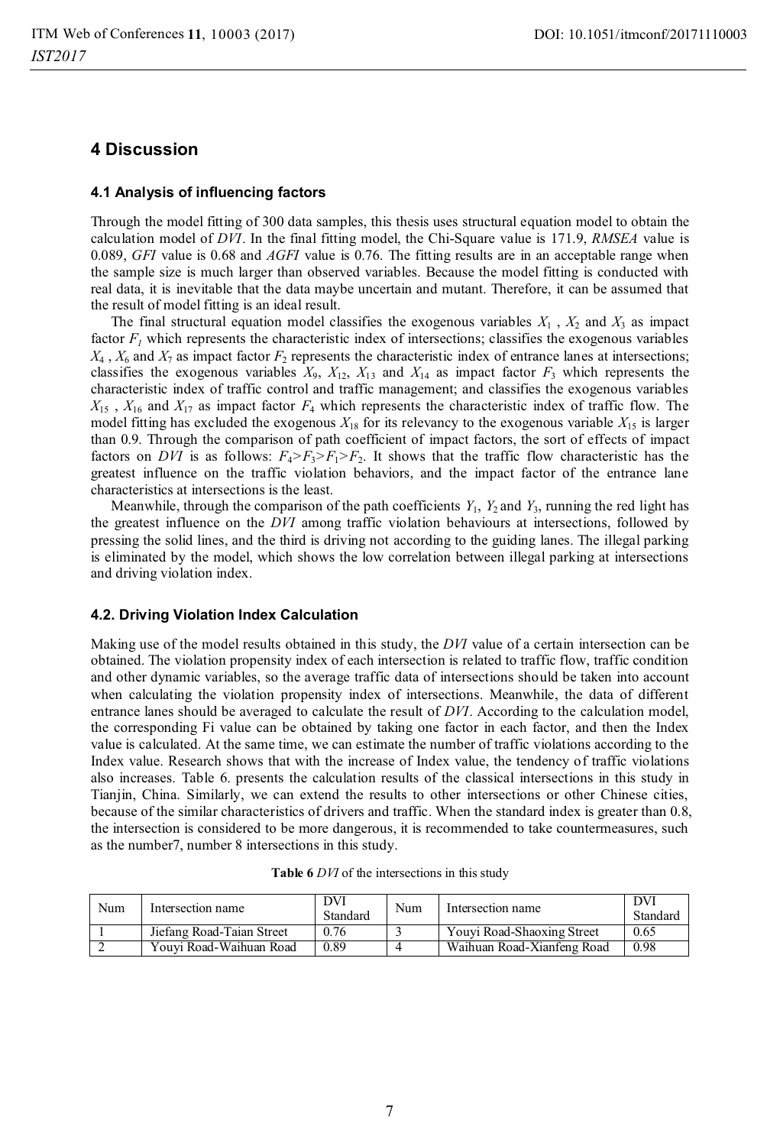# **4 Discussion**

### **4.1 Analysis of influencing factors**

Through the model fitting of 300 data samples, this thesis uses structural equation model to obtain the calculation model of *DVI*. In the final fitting model, the Chi-Square value is 171.9, *RMSEA* value is 0.089, *GFI* value is 0.68 and *AGFI* value is 0.76. The fitting results are in an acceptable range when the sample size is much larger than observed variables. Because the model fitting is conducted with real data, it is inevitable that the data maybe uncertain and mutant. Therefore, it can be assumed that the result of model fitting is an ideal result.

The final structural equation model classifies the exogenous variables  $X_1$ ,  $X_2$  and  $X_3$  as impact factor  $F<sub>1</sub>$  which represents the characteristic index of intersections; classifies the exogenous variables  $X_4$ ,  $X_6$  and  $X_7$  as impact factor  $F_2$  represents the characteristic index of entrance lanes at intersections; classifies the exogenous variables  $X_9$ ,  $X_{12}$ ,  $X_{13}$  and  $X_{14}$  as impact factor  $F_3$  which represents the characteristic index of traffic control and traffic management; and classifies the exogenous variables  $X_{15}$ ,  $X_{16}$  and  $X_{17}$  as impact factor  $F_4$  which represents the characteristic index of traffic flow. The model fitting has excluded the exogenous  $X_{18}$  for its relevancy to the exogenous variable  $X_{15}$  is larger than 0.9. Through the comparison of path coefficient of impact factors, the sort of effects of impact factors on *DVI* is as follows:  $F_4 > F_3 > F_1 > F_2$ . It shows that the traffic flow characteristic has the greatest influence on the traffic violation behaviors, and the impact factor of the entrance lane characteristics at intersections is the least.

Meanwhile, through the comparison of the path coefficients  $Y_1$ ,  $Y_2$  and  $Y_3$ , running the red light has the greatest influence on the *DVI* among traffic violation behaviours at intersections, followed by pressing the solid lines, and the third is driving not according to the guiding lanes. The illegal parking is eliminated by the model, which shows the low correlation between illegal parking at intersections and driving violation index.

### **4.2. Driving Violation Index Calculation**

Making use of the model results obtained in this study, the *DVI* value of a certain intersection can be obtained. The violation propensity index of each intersection is related to traffic flow, traffic condition and other dynamic variables, so the average traffic data of intersections should be taken into account when calculating the violation propensity index of intersections. Meanwhile, the data of different entrance lanes should be averaged to calculate the result of *DVI*. According to the calculation model, the corresponding Fi value can be obtained by taking one factor in each factor, and then the Index value is calculated. At the same time, we can estimate the number of traffic violations according to the Index value. Research shows that with the increase of Index value, the tendency of traffic violations also increases. Table 6. presents the calculation results of the classical intersections in this study in Tianjin, China. Similarly, we can extend the results to other intersections or other Chinese cities, because of the similar characteristics of drivers and traffic. When the standard index is greater than 0.8, the intersection is considered to be more dangerous, it is recommended to take countermeasures, such as the number7, number 8 intersections in this study.

| Num | Intersection name         | DVI<br>Standard | Num | Intersection name          | DVI<br>Standard |
|-----|---------------------------|-----------------|-----|----------------------------|-----------------|
|     | Jiefang Road-Taian Street | 0.76            |     | Youyi Road-Shaoxing Street | 0.65            |
|     | Youvi Road-Waihuan Road   | 0.89            |     | Waihuan Road-Xianfeng Road | 0.98            |

**Table 6** *DVI* of the intersections in this study